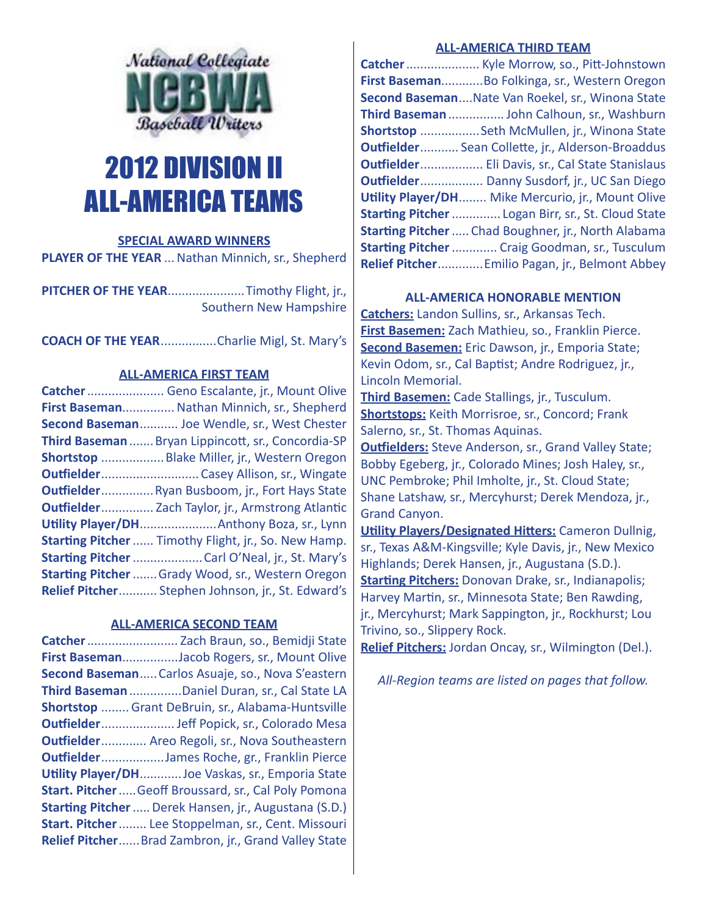

# 2012 DIVISION II ALL-AMERICA TEAMS

# **SPECIAL AWARD WINNERS**

PLAYER OF THE YEAR ... Nathan Minnich, sr., Shepherd

**PITCHER OF THE YEAR**......................Timothy Flight, jr., Southern New Hampshire

**COACH OF THE YEAR**................Charlie Migl, St. Mary's

# **ALL-AMERICA FIRST TEAM**

**Catcher**...................... Geno Escalante, jr., Mount Olive **First Baseman**...............Nathan Minnich, sr., Shepherd **Second Baseman**........... Joe Wendle, sr., West Chester **Third Baseman**.......Bryan Lippincott, sr., Concordia-SP **Shortstop** ..................Blake Miller, jr., Western Oregon **Outfielder**............................ Casey Allison, sr., Wingate **Outfielder**...............Ryan Busboom, jr., Fort Hays State **Outfielder**............... Zach Taylor, jr., Armstrong Atlantic **Utility Player/DH**......................Anthony Boza, sr., Lynn **Starting Pitcher**...... Timothy Flight, jr., So. New Hamp. **Starting Pitcher**....................Carl O'Neal, jr., St. Mary's **Starting Pitcher**.......Grady Wood, sr., Western Oregon **Relief Pitcher**........... Stephen Johnson, jr., St. Edward's

# **ALL-AMERICA SECOND TEAM**

**Catcher**.......................... Zach Braun, so., Bemidji State **First Baseman**................Jacob Rogers, sr., Mount Olive **Second Baseman**.....Carlos Asuaje, so., Nova S'eastern **Third Baseman**...............Daniel Duran, sr., Cal State LA **Shortstop** ........ Grant DeBruin, sr., Alabama-Huntsville **Outfielder**..................... Jeff Popick, sr., Colorado Mesa **Outfielder**............. Areo Regoli, sr., Nova Southeastern **Outfielder**..................James Roche, gr., Franklin Pierce **Utility Player/DH**............Joe Vaskas, sr., Emporia State **Start. Pitcher**.....Geoff Broussard, sr., Cal Poly Pomona **Starting Pitcher**.....Derek Hansen, jr., Augustana (S.D.) **Start. Pitcher**........ Lee Stoppelman, sr., Cent. Missouri **Relief Pitcher**......Brad Zambron, jr., Grand Valley State

# **ALL-AMERICA THIRD TEAM**

| Catcher  Kyle Morrow, so., Pitt-Johnstown               |
|---------------------------------------------------------|
| First BasemanBo Folkinga, sr., Western Oregon           |
| Second Baseman Nate Van Roekel, sr., Winona State       |
| Third Baseman  John Calhoun, sr., Washburn              |
| Shortstop Seth McMullen, jr., Winona State              |
| <b>Outfielder</b> Sean Collette, jr., Alderson-Broaddus |
| Outfielder Eli Davis, sr., Cal State Stanislaus         |
| <b>Outfielder</b> Danny Susdorf, jr., UC San Diego      |
| Utility Player/DH Mike Mercurio, jr., Mount Olive       |
| Starting Pitcher  Logan Birr, sr., St. Cloud State      |
| Starting Pitcher  Chad Boughner, jr., North Alabama     |
| <b>Starting Pitcher  Craig Goodman, sr., Tusculum</b>   |
| Relief Pitcher Emilio Pagan, jr., Belmont Abbey         |

# **ALL-AMERICA HONORABLE MENTION**

**Catchers:** Landon Sullins, sr., Arkansas Tech. **First Basemen:** Zach Mathieu, so., Franklin Pierce. **Second Basemen:** Eric Dawson, jr., Emporia State; Kevin Odom, sr., Cal Baptist; Andre Rodriguez, jr., Lincoln Memorial.

**Third Basemen:** Cade Stallings, jr., Tusculum. **Shortstops:** Keith Morrisroe, sr., Concord; Frank Salerno, sr., St. Thomas Aquinas.

**Outfielders:** Steve Anderson, sr., Grand Valley State; Bobby Egeberg, jr., Colorado Mines; Josh Haley, sr., UNC Pembroke; Phil Imholte, jr., St. Cloud State; Shane Latshaw, sr., Mercyhurst; Derek Mendoza, jr., Grand Canyon.

**Utility Players/Designated Hitters:** Cameron Dullnig, sr., Texas A&M-Kingsville; Kyle Davis, jr., New Mexico Highlands; Derek Hansen, jr., Augustana (S.D.). **Starting Pitchers:** Donovan Drake, sr., Indianapolis; Harvey Martin, sr., Minnesota State; Ben Rawding, jr., Mercyhurst; Mark Sappington, jr., Rockhurst; Lou Trivino, so., Slippery Rock.

**Relief Pitchers:** Jordan Oncay, sr., Wilmington (Del.).

*All-Region teams are listed on pages that follow.*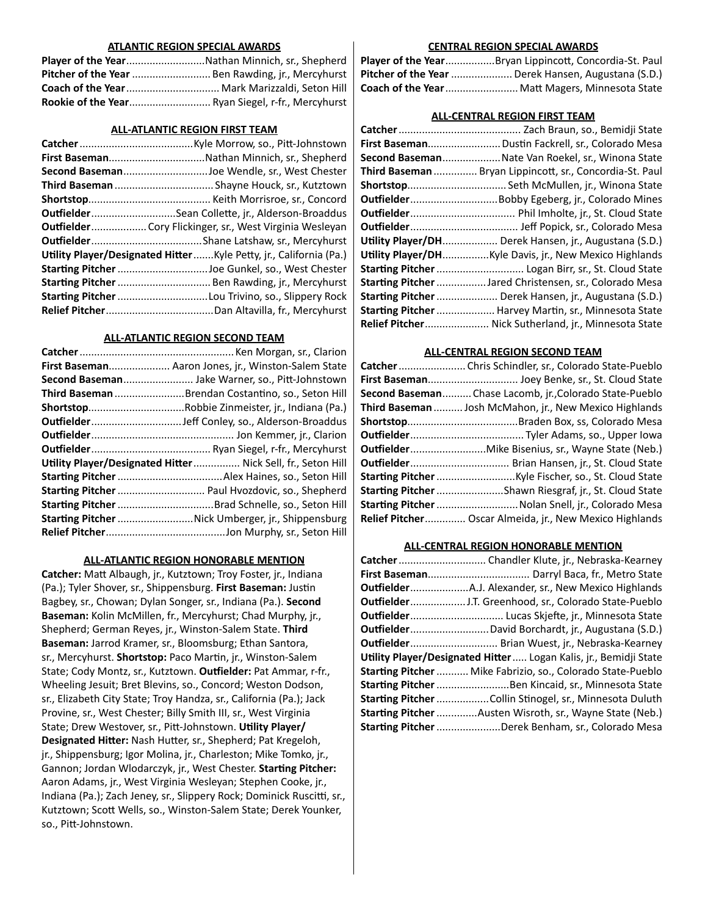#### **ATLANTIC REGION SPECIAL AWARDS**

| Player of the YearNathan Minnich, sr., Shepherd   |
|---------------------------------------------------|
| Pitcher of the Year  Ben Rawding, jr., Mercyhurst |
| Coach of the Year  Mark Marizzaldi. Seton Hill    |
| Rookie of the Year Ryan Siegel, r-fr., Mercyhurst |

#### **ALL-ATLANTIC REGION FIRST TEAM**

| First BasemanNathan Minnich, sr., Shepherd                          |
|---------------------------------------------------------------------|
| Second BasemanJoe Wendle, sr., West Chester                         |
| Third Baseman  Shayne Houck, sr., Kutztown                          |
|                                                                     |
| OutfielderSean Collette, jr., Alderson-Broaddus                     |
| Outfielder Cory Flickinger, sr., West Virginia Wesleyan             |
|                                                                     |
| Utility Player/Designated Hitter  Kyle Petty, jr., California (Pa.) |
| Starting Pitcher Joe Gunkel, so., West Chester                      |
| Starting Pitcher  Ben Rawding, jr., Mercyhurst                      |
| Starting Pitcher Lou Trivino, so., Slippery Rock                    |
|                                                                     |

#### **ALL-ATLANTIC REGION SECOND TEAM**

| First Baseman Aaron Jones, jr., Winston-Salem State          |
|--------------------------------------------------------------|
| Second Baseman Jake Warner, so., Pitt-Johnstown              |
| Third Baseman Brendan Costantino, so., Seton Hill            |
|                                                              |
|                                                              |
|                                                              |
|                                                              |
| Utility Player/Designated Hitter  Nick Sell, fr., Seton Hill |
|                                                              |
| Starting Pitcher  Paul Hvozdovic, so., Shepherd              |
| Starting Pitcher  Brad Schnelle, so., Seton Hill             |
| Starting Pitcher Nick Umberger, jr., Shippensburg            |
|                                                              |

## **ALL-ATLANTIC REGION HONORABLE MENTION**

**Catcher:** Matt Albaugh, jr., Kutztown; Troy Foster, jr., Indiana (Pa.); Tyler Shover, sr., Shippensburg. **First Baseman:** Justin Bagbey, sr., Chowan; Dylan Songer, sr., Indiana (Pa.). **Second Baseman:** Kolin McMillen, fr., Mercyhurst; Chad Murphy, jr., Shepherd; German Reyes, jr., Winston-Salem State. **Third Baseman:** Jarrod Kramer, sr., Bloomsburg; Ethan Santora, sr., Mercyhurst. **Shortstop:** Paco Martin, jr., Winston-Salem State; Cody Montz, sr., Kutztown. **Outfielder:** Pat Ammar, r-fr., Wheeling Jesuit; Bret Blevins, so., Concord; Weston Dodson, sr., Elizabeth City State; Troy Handza, sr., California (Pa.); Jack Provine, sr., West Chester; Billy Smith III, sr., West Virginia State; Drew Westover, sr., Pitt-Johnstown. **Utility Player/ Designated Hitter:** Nash Hutter, sr., Shepherd; Pat Kregeloh, jr., Shippensburg; Igor Molina, jr., Charleston; Mike Tomko, jr., Gannon; Jordan Wlodarczyk, jr., West Chester. **Starting Pitcher:** Aaron Adams, jr., West Virginia Wesleyan; Stephen Cooke, jr., Indiana (Pa.); Zach Jeney, sr., Slippery Rock; Dominick Ruscitti, sr., Kutztown; Scott Wells, so., Winston-Salem State; Derek Younker, so., Pitt-Johnstown.

## **CENTRAL REGION SPECIAL AWARDS**

| Player of the YearBryan Lippincott, Concordia-St. Paul    |
|-----------------------------------------------------------|
| <b>Pitcher of the Year</b> Derek Hansen, Augustana (S.D.) |
| Coach of the Year Matt Magers, Minnesota State            |

#### **ALL-CENTRAL REGION FIRST TEAM**

| First Baseman Dustin Fackrell, sr., Colorado Mesa             |
|---------------------------------------------------------------|
| Second Baseman Nate Van Roekel, sr., Winona State             |
| Third Baseman  Bryan Lippincott, sr., Concordia-St. Paul      |
| Shortstop Seth McMullen, jr., Winona State                    |
| <b>OutfielderBobby Egeberg, jr., Colorado Mines</b>           |
|                                                               |
|                                                               |
| Utility Player/DH Derek Hansen, jr., Augustana (S.D.)         |
| <b>Utility Player/DHKyle Davis, jr., New Mexico Highlands</b> |
| Starting Pitcher  Logan Birr, sr., St. Cloud State            |
| Starting Pitcher  Jared Christensen, sr., Colorado Mesa       |
| Starting Pitcher  Derek Hansen, jr., Augustana (S.D.)         |
| Starting Pitcher  Harvey Martin, sr., Minnesota State         |
| Relief Pitcher Nick Sutherland, jr., Minnesota State          |

#### **ALL-CENTRAL REGION SECOND TEAM**

| Catcher  Chris Schindler, sr., Colorado State-Pueblo           |
|----------------------------------------------------------------|
| First Baseman Joey Benke, sr., St. Cloud State                 |
| Second BasemanChase Lacomb, jr.,Colorado State-Pueblo          |
| Third Baseman  Josh McMahon, jr., New Mexico Highlands         |
|                                                                |
|                                                                |
| <b>Outfielder</b> Mike Bisenius, sr., Wayne State (Neb.)       |
| <b>Outfielder</b> Brian Hansen, jr., St. Cloud State           |
|                                                                |
| Starting Pitcher Shawn Riesgraf, jr., St. Cloud State          |
| Starting Pitcher  Nolan Snell, jr., Colorado Mesa              |
| <b>Relief Pitcher Oscar Almeida, jr., New Mexico Highlands</b> |
|                                                                |

#### **ALL-CENTRAL REGION HONORABLE MENTION**

| <b>Outfielder</b> Brian Wuest, jr., Nebraska-Kearney               |
|--------------------------------------------------------------------|
| Utility Player/Designated Hitter Logan Kalis, jr., Bemidji State   |
| <b>Starting Pitcher  Mike Fabrizio, so., Colorado State-Pueblo</b> |
| Starting Pitcher Ben Kincaid, sr., Minnesota State                 |
|                                                                    |
| <b>Starting Pitcher</b> Austen Wisroth, sr., Wayne State (Neb.)    |
| Starting Pitcher Derek Benham, sr., Colorado Mesa                  |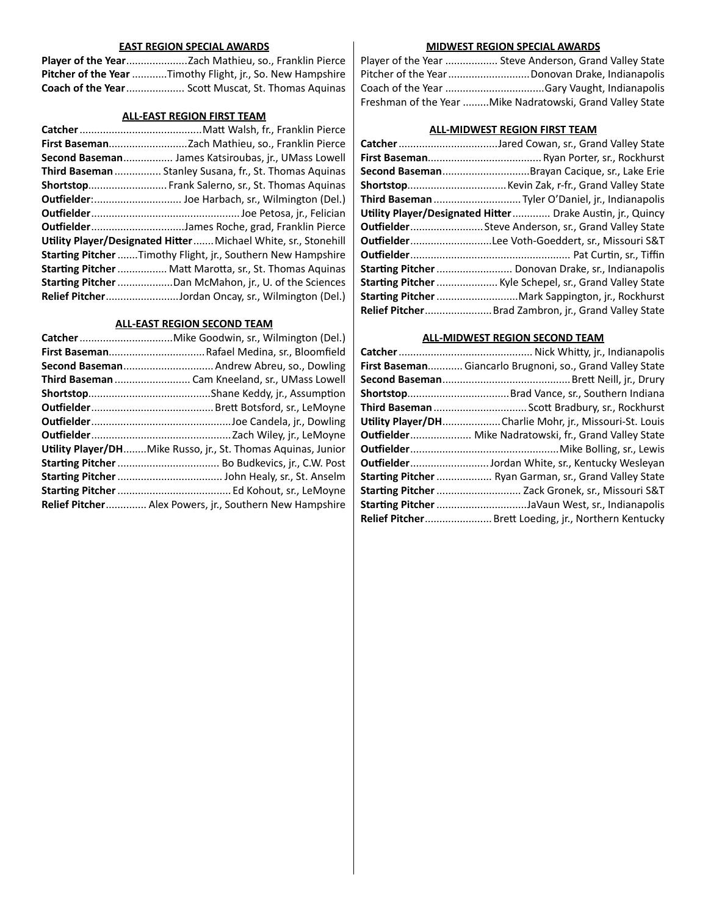## **EAST REGION SPECIAL AWARDS**

| <b>Pitcher of the Year</b> Timothy Flight, jr., So. New Hampshire |
|-------------------------------------------------------------------|
| <b>Coach of the Year</b> Scott Muscat, St. Thomas Aquinas         |

## **ALL-EAST REGION FIRST TEAM**

| Second Baseman James Katsiroubas, jr., UMass Lowell             |
|-----------------------------------------------------------------|
| Third Baseman  Stanley Susana, fr., St. Thomas Aquinas          |
|                                                                 |
|                                                                 |
|                                                                 |
|                                                                 |
| Utility Player/Designated Hitter  Michael White, sr., Stonehill |
| Starting Pitcher  Timothy Flight, jr., Southern New Hampshire   |
| Starting Pitcher  Matt Marotta, sr., St. Thomas Aquinas         |
| Starting Pitcher Dan McMahon, jr., U. of the Sciences           |
| Relief PitcherJordan Oncay, sr., Wilmington (Del.)              |

# **ALL-EAST REGION SECOND TEAM**

| Second Baseman Andrew Abreu, so., Dowling                           |
|---------------------------------------------------------------------|
| Third Baseman  Cam Kneeland, sr., UMass Lowell                      |
|                                                                     |
|                                                                     |
|                                                                     |
|                                                                     |
| <b>Utility Player/DHMike Russo, jr., St. Thomas Aquinas, Junior</b> |
|                                                                     |
|                                                                     |
|                                                                     |
| <b>Relief Pitcher</b> Alex Powers, jr., Southern New Hampshire      |

# **MIDWEST REGION SPECIAL AWARDS**

| Player of the Year  Steve Anderson, Grand Valley State    |
|-----------------------------------------------------------|
| Pitcher of the YearDonovan Drake, Indianapolis            |
|                                                           |
| Freshman of the Year Mike Nadratowski, Grand Valley State |

# **ALL-MIDWEST REGION FIRST TEAM**

| CatcherJared Cowan, sr., Grand Valley State                       |
|-------------------------------------------------------------------|
|                                                                   |
| Second BasemanBrayan Cacique, sr., Lake Erie                      |
|                                                                   |
| Third Baseman Tyler O'Daniel, jr., Indianapolis                   |
| <b>Utility Player/Designated Hitter</b> Drake Austin, jr., Quincy |
| <b>Outfielder</b> Steve Anderson, sr., Grand Valley State         |
| OutfielderLee Voth-Goeddert, sr., Missouri S&T                    |
|                                                                   |
| Starting Pitcher  Donovan Drake, sr., Indianapolis                |
| Starting Pitcher  Kyle Schepel, sr., Grand Valley State           |
| Starting Pitcher Mark Sappington, jr., Rockhurst                  |
| Relief Pitcher Brad Zambron, jr., Grand Valley State              |

# **ALL-MIDWEST REGION SECOND TEAM**

| First Baseman Giancarlo Brugnoni, so., Grand Valley State |
|-----------------------------------------------------------|
|                                                           |
|                                                           |
| Third Baseman  Scott Bradbury, sr., Rockhurst             |
| Utility Player/DHCharlie Mohr, jr., Missouri-St. Louis    |
| Outfielder Mike Nadratowski, fr., Grand Valley State      |
|                                                           |
| OutfielderJordan White, sr., Kentucky Wesleyan            |
| Starting Pitcher  Ryan Garman, sr., Grand Valley State    |
| Starting Pitcher  Zack Gronek, sr., Missouri S&T          |
| Starting Pitcher JaVaun West, sr., Indianapolis           |
| Relief Pitcher Brett Loeding, jr., Northern Kentucky      |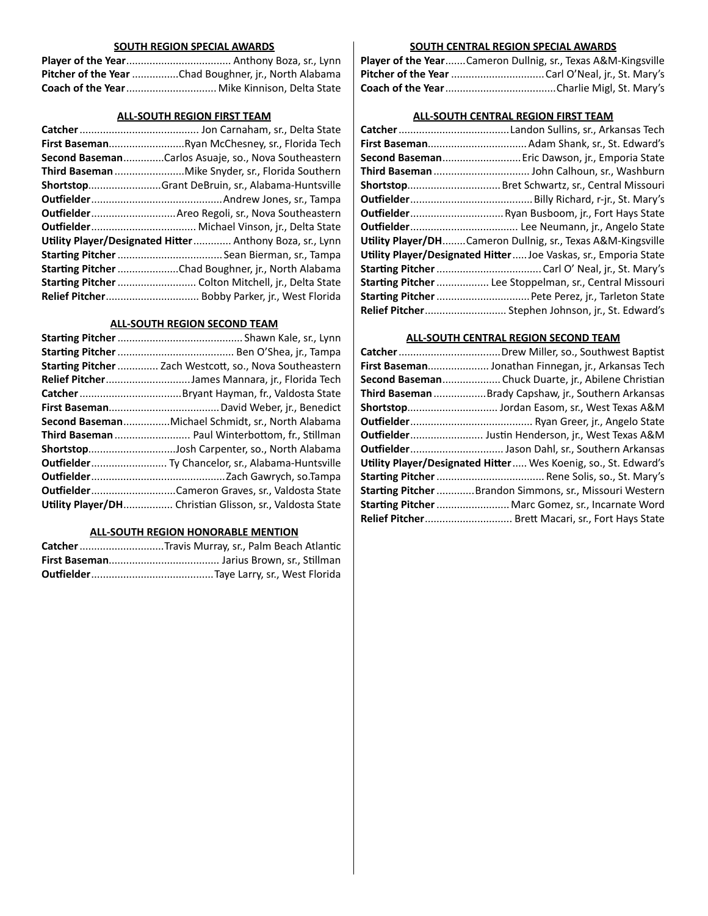### **SOUTH REGION SPECIAL AWARDS**

| Pitcher of the Year Chad Boughner, jr., North Alabama |
|-------------------------------------------------------|
| Coach of the Year Mike Kinnison, Delta State          |

## **ALL-SOUTH REGION FIRST TEAM**

|                                                          | First BasemanRyan McChesney, sr., Florida Tech      |  |
|----------------------------------------------------------|-----------------------------------------------------|--|
|                                                          | Second BasemanCarlos Asuaje, so., Nova Southeastern |  |
|                                                          |                                                     |  |
|                                                          | ShortstopGrant DeBruin, sr., Alabama-Huntsville     |  |
|                                                          |                                                     |  |
|                                                          | Outfielder Areo Regoli, sr., Nova Southeastern      |  |
|                                                          |                                                     |  |
| Utility Player/Designated Hitter Anthony Boza, sr., Lynn |                                                     |  |
|                                                          |                                                     |  |
|                                                          | Starting Pitcher Chad Boughner, jr., North Alabama  |  |
|                                                          | Starting Pitcher  Colton Mitchell, jr., Delta State |  |
|                                                          |                                                     |  |

## **ALL-SOUTH REGION SECOND TEAM**

| Starting Pitcher  Zach Westcott, so., Nova Southeastern  |
|----------------------------------------------------------|
| Relief PitcherJames Mannara, jr., Florida Tech           |
|                                                          |
|                                                          |
| Second BasemanMichael Schmidt, sr., North Alabama        |
| Third Baseman  Paul Winterbottom, fr., Stillman          |
| ShortstopJosh Carpenter, so., North Alabama              |
| Outfielder Ty Chancelor, sr., Alabama-Huntsville         |
|                                                          |
| <b>OutfielderCameron Graves, sr., Valdosta State</b>     |
| Utility Player/DH Christian Glisson, sr., Valdosta State |

## **ALL-SOUTH REGION HONORABLE MENTION**

| Catcher Travis Murray, sr., Palm Beach Atlantic |
|-------------------------------------------------|
|                                                 |
|                                                 |

# **SOUTH CENTRAL REGION SPECIAL AWARDS**

| <b>Player of the YearCameron Dullnig, sr., Texas A&amp;M-Kingsville</b> |
|-------------------------------------------------------------------------|
|                                                                         |
|                                                                         |

# **ALL-SOUTH CENTRAL REGION FIRST TEAM**

| First Baseman Adam Shank, sr., St. Edward's                           |
|-----------------------------------------------------------------------|
| Second Baseman Eric Dawson, jr., Emporia State                        |
| Third Baseman  John Calhoun, sr., Washburn                            |
| Shortstop Bret Schwartz, sr., Central Missouri                        |
|                                                                       |
| <b>Outfielder</b> Ryan Busboom, jr., Fort Hays State                  |
|                                                                       |
| Utility Player/DHCameron Dullnig, sr., Texas A&M-Kingsville           |
| <b>Utility Player/Designated HitterJoe Vaskas, sr., Emporia State</b> |
|                                                                       |
| Starting Pitcher  Lee Stoppelman, sr., Central Missouri               |
| Starting Pitcher  Pete Perez, jr., Tarleton State                     |
| Relief Pitcher Stephen Johnson, jr., St. Edward's                     |
|                                                                       |

# **ALL-SOUTH CENTRAL REGION SECOND TEAM**

| First Baseman Jonathan Finnegan, jr., Arkansas Tech                   |
|-----------------------------------------------------------------------|
| Second Baseman Chuck Duarte, jr., Abilene Christian                   |
| Third Baseman Brady Capshaw, jr., Southern Arkansas                   |
| Shortstop Jordan Easom, sr., West Texas A&M                           |
|                                                                       |
| Outfielder Justin Henderson, jr., West Texas A&M                      |
| Outfielder Jason Dahl, sr., Southern Arkansas                         |
| <b>Utility Player/Designated Hitter Wes Koenig, so., St. Edward's</b> |
|                                                                       |
| Starting Pitcher Brandon Simmons, sr., Missouri Western               |
| Starting Pitcher  Marc Gomez, sr., Incarnate Word                     |
| Relief Pitcher Brett Macari, sr., Fort Hays State                     |
|                                                                       |